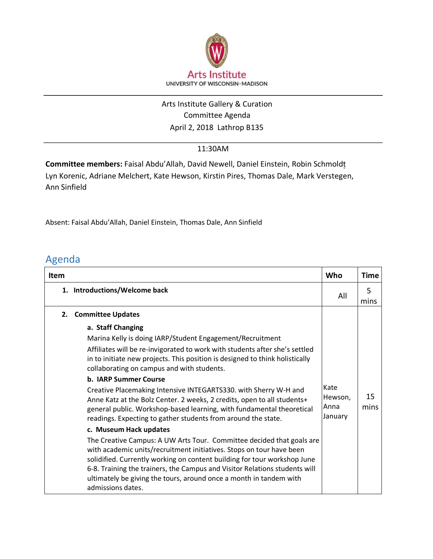

## April 2, 2018 Lathrop B135 Arts Institute Gallery & Curation Committee Agenda

## 11:30AM

**Committee members:** Faisal Abdu'Allah, David Newell, Daniel Einstein, Robin Schmoldt͕ Lyn Korenic, Adriane Melchert, Kate Hewson, Kirstin Pires, Thomas Dale, Mark Verstegen, Ann Sinfield

Absent: Faisal Abdu'Allah, Daniel Einstein, Thomas Dale, Ann Sinfield

## Agenda

| <b>Item</b>                   | Who                                                                                                                                                                                                                                                                                                                                                                                                                                                                                                                                                                                                                                                                                                                                  | Time       |
|-------------------------------|--------------------------------------------------------------------------------------------------------------------------------------------------------------------------------------------------------------------------------------------------------------------------------------------------------------------------------------------------------------------------------------------------------------------------------------------------------------------------------------------------------------------------------------------------------------------------------------------------------------------------------------------------------------------------------------------------------------------------------------|------------|
| 1. Introductions/Welcome back | All                                                                                                                                                                                                                                                                                                                                                                                                                                                                                                                                                                                                                                                                                                                                  | 5<br>mins  |
| 2.                            |                                                                                                                                                                                                                                                                                                                                                                                                                                                                                                                                                                                                                                                                                                                                      |            |
|                               | Affiliates will be re-invigorated to work with students after she's settled<br>in to initiate new projects. This position is designed to think holistically<br>Kate<br>Creative Placemaking Intensive INTEGARTS330. with Sherry W-H and<br>Hewson,<br>Anne Katz at the Bolz Center. 2 weeks, 2 credits, open to all students+<br>Anna<br>general public. Workshop-based learning, with fundamental theoretical<br>January<br>The Creative Campus: A UW Arts Tour. Committee decided that goals are<br>with academic units/recruitment initiatives. Stops on tour have been<br>solidified. Currently working on content building for tour workshop June<br>6-8. Training the trainers, the Campus and Visitor Relations students will | 15<br>mins |
|                               |                                                                                                                                                                                                                                                                                                                                                                                                                                                                                                                                                                                                                                                                                                                                      |            |